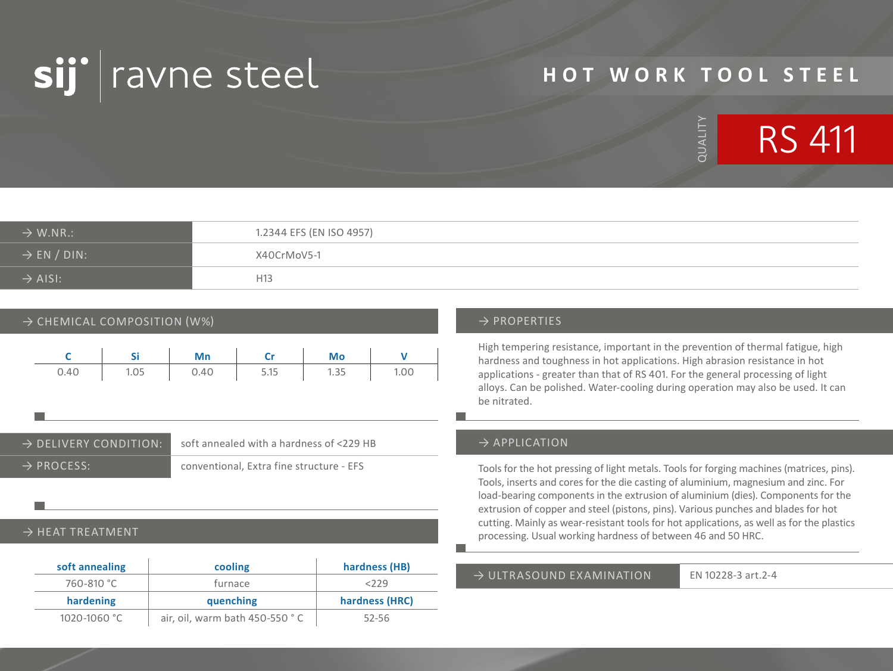

# **HOT WORK TOOL STEEL**

QUALITY

QUALITY



| $\rightarrow$ W.NR.:    | 1.2344 EFS (EN ISO 4957) |
|-------------------------|--------------------------|
| $\rightarrow$ EN / DIN: | X40CrMoV5-1              |
| $\rightarrow$ AISI:     | H <sub>13</sub>          |

### $\rightarrow$  CHEMICAL COMPOSITION (W%)  $\rightarrow$  PROPERTIES

|      |      | Mn   | $\mathbf{C}$ r | Mo   |      |
|------|------|------|----------------|------|------|
| 0.40 | 1.05 | 0.40 | 5.15           | 1.35 | 1.00 |

→ DELIVERY CONDITION: soft annealed with a hardness of <229 HB → PROCESS: conventional, Extra fine structure - EFS

#### $\rightarrow$  HEAT TREATMENT

| soft annealing | cooling   | hardness (HB)  |
|----------------|-----------|----------------|
| 760-810 °C     | furnace   | 2229           |
|                |           |                |
| hardening      | quenching | hardness (HRC) |

High tempering resistance, important in the prevention of thermal fatigue, high hardness and toughness in hot applications. High abrasion resistance in hot applications - greater than that of RS 401. For the general processing of light alloys. Can be polished. Water-cooling during operation may also be used. It can be nitrated.

#### $\rightarrow$  APPLICATION

Tools for the hot pressing of light metals. Tools for forging machines (matrices, pins). Tools, inserts and cores for the die casting of aluminium, magnesium and zinc. For load-bearing components in the extrusion of aluminium (dies). Components for the extrusion of copper and steel (pistons, pins). Various punches and blades for hot cutting. Mainly as wear-resistant tools for hot applications, as well as for the plastics processing. Usual working hardness of between 46 and 50 HRC.

#### $\rightarrow$  ULTRASOUND FXAMINATION EN 10228-3 art.2-4